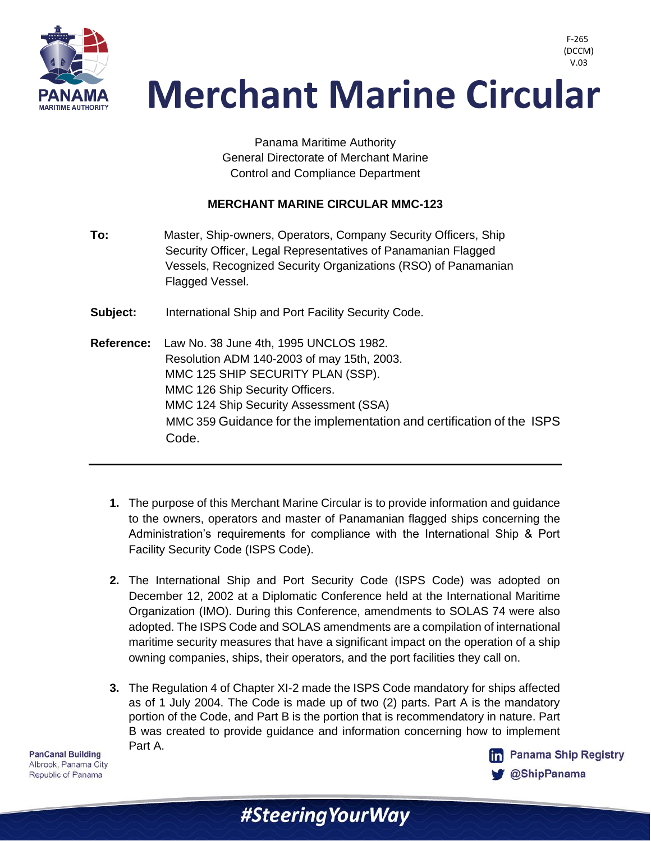

> Panama Maritime Authority General Directorate of Merchant Marine Control and Compliance Department

#### **MERCHANT MARINE CIRCULAR MMC-123**

- **To:** Master, Ship-owners, Operators, Company Security Officers, Ship Security Officer, Legal Representatives of Panamanian Flagged Vessels, Recognized Security Organizations (RSO) of Panamanian Flagged Vessel.
- **Subject:** International Ship and Port Facility Security Code.
- **Reference:** Law No. 38 June 4th, 1995 UNCLOS 1982. Resolution ADM 140-2003 of may 15th, 2003. MMC 125 SHIP SECURITY PLAN (SSP). MMC 126 Ship Security Officers. MMC 124 Ship Security Assessment (SSA) MMC 359 Guidance for the implementation and certification of the ISPS Code.
	- **1.** The purpose of this Merchant Marine Circular is to provide information and guidance to the owners, operators and master of Panamanian flagged ships concerning the Administration's requirements for compliance with the International Ship & Port Facility Security Code (ISPS Code).
	- **2.** The International Ship and Port Security Code (ISPS Code) was adopted on December 12, 2002 at a Diplomatic Conference held at the International Maritime Organization (IMO). During this Conference, amendments to SOLAS 74 were also adopted. The ISPS Code and SOLAS amendments are a compilation of international maritime security measures that have a significant impact on the operation of a ship owning companies, ships, their operators, and the port facilities they call on.
	- **3.** The Regulation 4 of Chapter XI-2 made the ISPS Code mandatory for ships affected as of 1 July 2004. The Code is made up of two (2) parts. Part A is the mandatory portion of the Code, and Part B is the portion that is recommendatory in nature. Part B was created to provide guidance and information concerning how to implement Part A.

#Steering Your Way

**PanCanal Building** Albrook, Panama City Republic of Panama



F-265 (DCCM)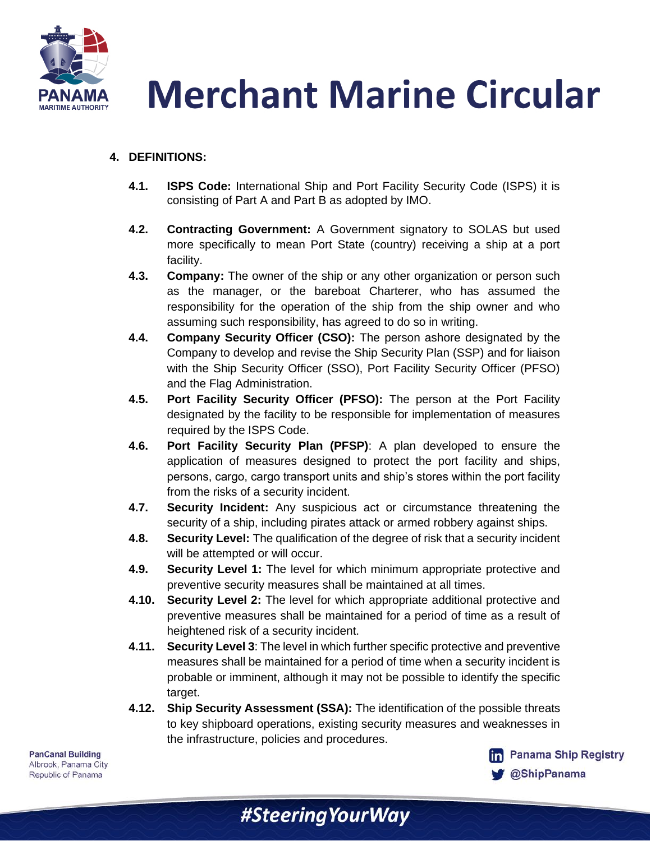

#### **4. DEFINITIONS:**

- **4.1. ISPS Code:** International Ship and Port Facility Security Code (ISPS) it is consisting of Part A and Part B as adopted by IMO.
- **4.2. Contracting Government:** A Government signatory to SOLAS but used more specifically to mean Port State (country) receiving a ship at a port facility.
- **4.3. Company:** The owner of the ship or any other organization or person such as the manager, or the bareboat Charterer, who has assumed the responsibility for the operation of the ship from the ship owner and who assuming such responsibility, has agreed to do so in writing.
- **4.4. Company Security Officer (CSO):** The person ashore designated by the Company to develop and revise the Ship Security Plan (SSP) and for liaison with the Ship Security Officer (SSO), Port Facility Security Officer (PFSO) and the Flag Administration.
- **4.5. Port Facility Security Officer (PFSO):** The person at the Port Facility designated by the facility to be responsible for implementation of measures required by the ISPS Code.
- **4.6. Port Facility Security Plan (PFSP)**: A plan developed to ensure the application of measures designed to protect the port facility and ships, persons, cargo, cargo transport units and ship's stores within the port facility from the risks of a security incident.
- **4.7. Security Incident:** Any suspicious act or circumstance threatening the security of a ship, including pirates attack or armed robbery against ships.
- **4.8. Security Level:** The qualification of the degree of risk that a security incident will be attempted or will occur.
- **4.9. Security Level 1:** The level for which minimum appropriate protective and preventive security measures shall be maintained at all times.
- **4.10. Security Level 2:** The level for which appropriate additional protective and preventive measures shall be maintained for a period of time as a result of heightened risk of a security incident.
- **4.11. Security Level 3**: The level in which further specific protective and preventive measures shall be maintained for a period of time when a security incident is probable or imminent, although it may not be possible to identify the specific target.
- **4.12. Ship Security Assessment (SSA):** The identification of the possible threats to key shipboard operations, existing security measures and weaknesses in the infrastructure, policies and procedures.

#Steering Your Way

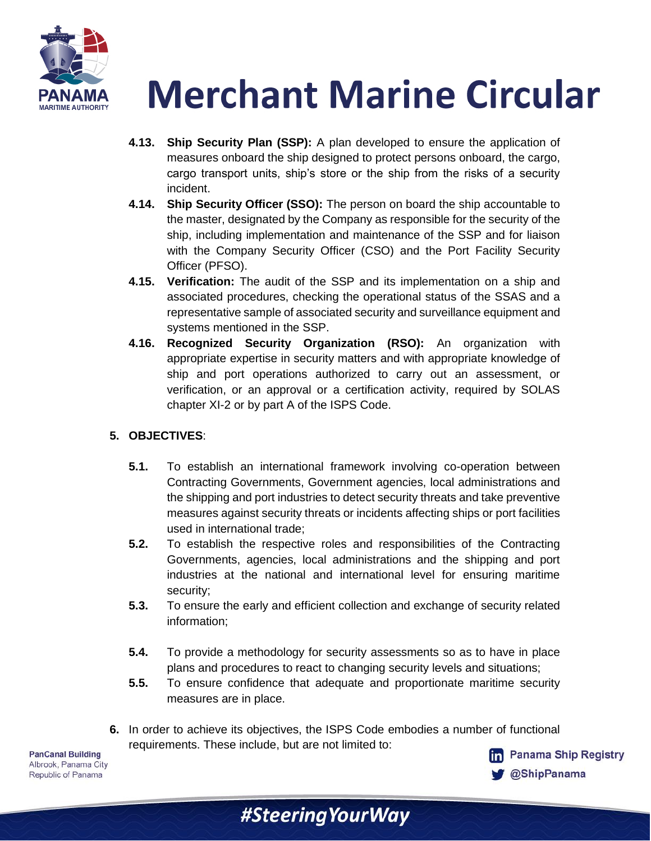

- **4.13. Ship Security Plan (SSP):** A plan developed to ensure the application of measures onboard the ship designed to protect persons onboard, the cargo, cargo transport units, ship's store or the ship from the risks of a security incident.
- **4.14. Ship Security Officer (SSO):** The person on board the ship accountable to the master, designated by the Company as responsible for the security of the ship, including implementation and maintenance of the SSP and for liaison with the Company Security Officer (CSO) and the Port Facility Security Officer (PFSO).
- **4.15. Verification:** The audit of the SSP and its implementation on a ship and associated procedures, checking the operational status of the SSAS and a representative sample of associated security and surveillance equipment and systems mentioned in the SSP.
- **4.16. Recognized Security Organization (RSO):** An organization with appropriate expertise in security matters and with appropriate knowledge of ship and port operations authorized to carry out an assessment, or verification, or an approval or a certification activity, required by SOLAS chapter XI-2 or by part A of the ISPS Code.

### **5. OBJECTIVES**:

- **5.1.** To establish an international framework involving co-operation between Contracting Governments, Government agencies, local administrations and the shipping and port industries to detect security threats and take preventive measures against security threats or incidents affecting ships or port facilities used in international trade;
- **5.2.** To establish the respective roles and responsibilities of the Contracting Governments, agencies, local administrations and the shipping and port industries at the national and international level for ensuring maritime security;
- **5.3.** To ensure the early and efficient collection and exchange of security related information;
- **5.4.** To provide a methodology for security assessments so as to have in place plans and procedures to react to changing security levels and situations;
- **5.5.** To ensure confidence that adequate and proportionate maritime security measures are in place.
- **6.** In order to achieve its objectives, the ISPS Code embodies a number of functional requirements. These include, but are not limited to:

**PanCanal Building** Albrook, Panama City Republic of Panama

**fm** Panama Ship Registry **@ShipPanama** 

#SteeringYourWay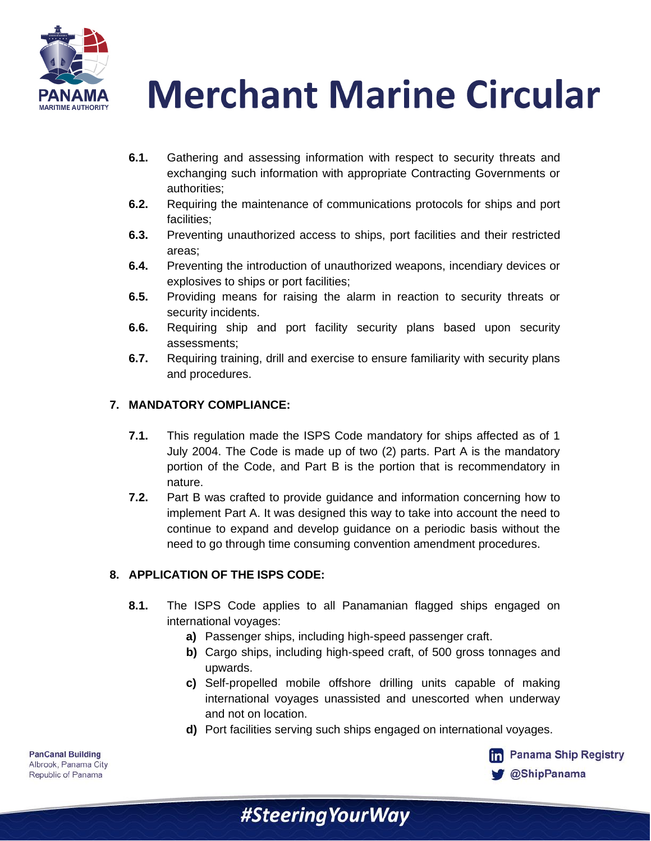



- **6.1.** Gathering and assessing information with respect to security threats and exchanging such information with appropriate Contracting Governments or authorities;
- **6.2.** Requiring the maintenance of communications protocols for ships and port facilities;
- **6.3.** Preventing unauthorized access to ships, port facilities and their restricted areas;
- **6.4.** Preventing the introduction of unauthorized weapons, incendiary devices or explosives to ships or port facilities;
- **6.5.** Providing means for raising the alarm in reaction to security threats or security incidents.
- **6.6.** Requiring ship and port facility security plans based upon security assessments;
- **6.7.** Requiring training, drill and exercise to ensure familiarity with security plans and procedures.

### **7. MANDATORY COMPLIANCE:**

- **7.1.** This regulation made the ISPS Code mandatory for ships affected as of 1 July 2004. The Code is made up of two (2) parts. Part A is the mandatory portion of the Code, and Part B is the portion that is recommendatory in nature.
- **7.2.** Part B was crafted to provide guidance and information concerning how to implement Part A. It was designed this way to take into account the need to continue to expand and develop guidance on a periodic basis without the need to go through time consuming convention amendment procedures.

### **8. APPLICATION OF THE ISPS CODE:**

- **8.1.** The ISPS Code applies to all Panamanian flagged ships engaged on international voyages:
	- **a)** Passenger ships, including high-speed passenger craft.

#SteeringYourWay

- **b)** Cargo ships, including high-speed craft, of 500 gross tonnages and upwards.
- **c)** Self-propelled mobile offshore drilling units capable of making international voyages unassisted and unescorted when underway and not on location.
- **d)** Port facilities serving such ships engaged on international voyages.

**Ranama Ship Registry @ShipPanama**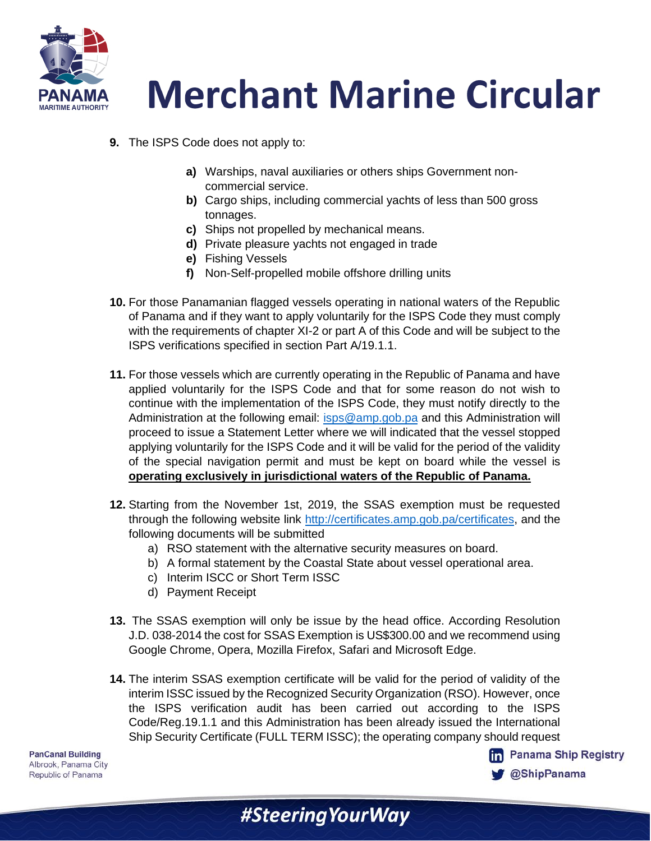

- **9.** The ISPS Code does not apply to:
	- **a)** Warships, naval auxiliaries or others ships Government noncommercial service.
	- **b)** Cargo ships, including commercial yachts of less than 500 gross tonnages.
	- **c)** Ships not propelled by mechanical means.
	- **d)** Private pleasure yachts not engaged in trade
	- **e)** Fishing Vessels
	- **f)** Non-Self-propelled mobile offshore drilling units
- **10.** For those Panamanian flagged vessels operating in national waters of the Republic of Panama and if they want to apply voluntarily for the ISPS Code they must comply with the requirements of chapter XI-2 or part A of this Code and will be subject to the ISPS verifications specified in section Part A/19.1.1.
- **11.** For those vessels which are currently operating in the Republic of Panama and have applied voluntarily for the ISPS Code and that for some reason do not wish to continue with the implementation of the ISPS Code, they must notify directly to the Administration at the following email: [isps@amp.gob.pa](mailto:isps@amp.gob.pa) and this Administration will proceed to issue a Statement Letter where we will indicated that the vessel stopped applying voluntarily for the ISPS Code and it will be valid for the period of the validity of the special navigation permit and must be kept on board while the vessel is **operating exclusively in jurisdictional waters of the Republic of Panama.**
- **12.** Starting from the November 1st, 2019, the SSAS exemption must be requested through the following website link [http://certificates.amp.gob.pa/certificates,](http://certificates.amp.gob.pa/certificates) and the following documents will be submitted
	- a) RSO statement with the alternative security measures on board.
	- b) A formal statement by the Coastal State about vessel operational area.
	- c) Interim ISCC or Short Term ISSC
	- d) Payment Receipt
- **13.** The SSAS exemption will only be issue by the head office. According Resolution J.D. 038-2014 the cost for SSAS Exemption is US\$300.00 and we recommend using Google Chrome, Opera, Mozilla Firefox, Safari and Microsoft Edge.
- **14.** The interim SSAS exemption certificate will be valid for the period of validity of the interim ISSC issued by the Recognized Security Organization (RSO). However, once the ISPS verification audit has been carried out according to the ISPS Code/Reg.19.1.1 and this Administration has been already issued the International Ship Security Certificate (FULL TERM ISSC); the operating company should request

#Steering Your Way

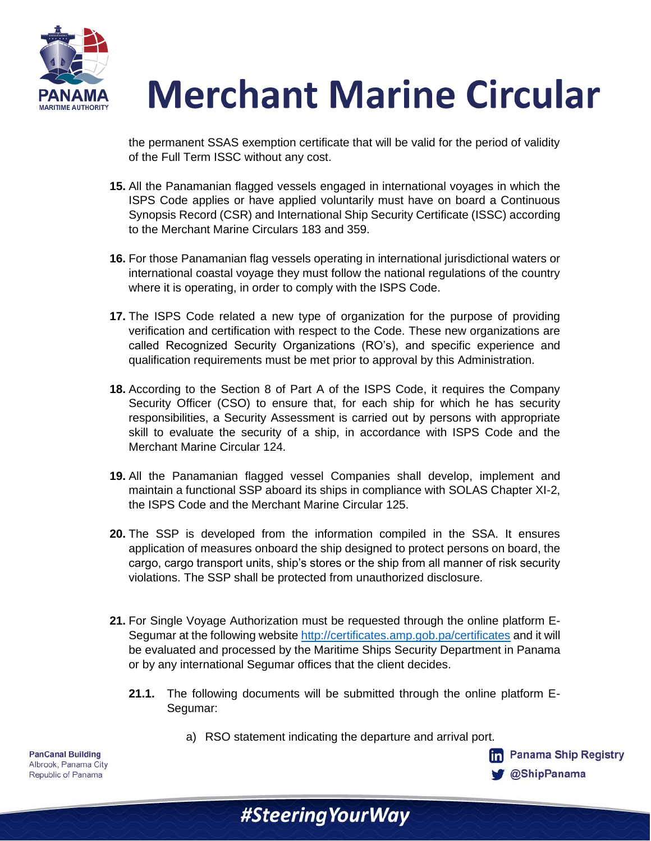

the permanent SSAS exemption certificate that will be valid for the period of validity of the Full Term ISSC without any cost.

- **15.** All the Panamanian flagged vessels engaged in international voyages in which the ISPS Code applies or have applied voluntarily must have on board a Continuous Synopsis Record (CSR) and International Ship Security Certificate (ISSC) according to the Merchant Marine Circulars 183 and 359.
- **16.** For those Panamanian flag vessels operating in international jurisdictional waters or international coastal voyage they must follow the national regulations of the country where it is operating, in order to comply with the ISPS Code.
- **17.** The ISPS Code related a new type of organization for the purpose of providing verification and certification with respect to the Code. These new organizations are called Recognized Security Organizations (RO's), and specific experience and qualification requirements must be met prior to approval by this Administration.
- **18.** According to the Section 8 of Part A of the ISPS Code, it requires the Company Security Officer (CSO) to ensure that, for each ship for which he has security responsibilities, a Security Assessment is carried out by persons with appropriate skill to evaluate the security of a ship, in accordance with ISPS Code and the Merchant Marine Circular 124.
- **19.** All the Panamanian flagged vessel Companies shall develop, implement and maintain a functional SSP aboard its ships in compliance with SOLAS Chapter XI-2, the ISPS Code and the Merchant Marine Circular 125.
- **20.** The SSP is developed from the information compiled in the SSA. It ensures application of measures onboard the ship designed to protect persons on board, the cargo, cargo transport units, ship's stores or the ship from all manner of risk security violations. The SSP shall be protected from unauthorized disclosure.
- **21.** For Single Voyage Authorization must be requested through the online platform E-Segumar at the following website<http://certificates.amp.gob.pa/certificates> and it will be evaluated and processed by the Maritime Ships Security Department in Panama or by any international Segumar offices that the client decides.
	- **21.1.** The following documents will be submitted through the online platform E-Segumar:
		- a) RSO statement indicating the departure and arrival port.

**fm** Panama Ship Registry

**@ShipPanama** 

| #Steering Your Way |  |  |
|--------------------|--|--|